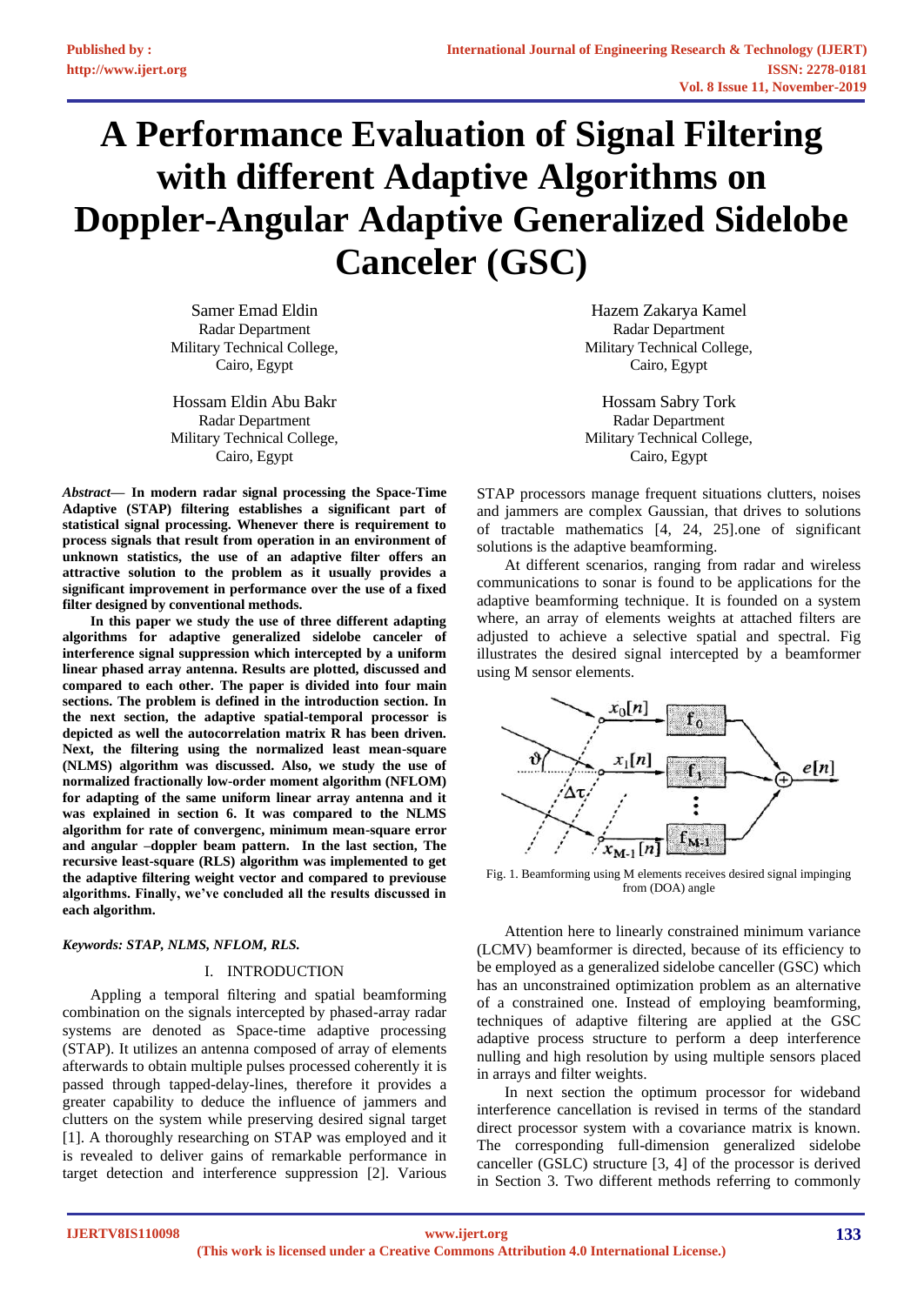# **A Performance Evaluation of Signal Filtering with different Adaptive Algorithms on Doppler-Angular Adaptive Generalized Sidelobe Canceler (GSC)**

Samer Emad Eldin Radar Department Military Technical College, Cairo, Egypt

Hossam Eldin Abu Bakr Radar Department Military Technical College, Cairo, Egypt

*Abstract***— In modern radar signal processing the Space-Time Adaptive (STAP) filtering establishes a significant part of statistical signal processing. Whenever there is requirement to process signals that result from operation in an environment of unknown statistics, the use of an adaptive filter offers an attractive solution to the problem as it usually provides a significant improvement in performance over the use of a fixed filter designed by conventional methods.**

**In this paper we study the use of three different adapting algorithms for adaptive generalized sidelobe canceler of interference signal suppression which intercepted by a uniform linear phased array antenna. Results are plotted, discussed and compared to each other. The paper is divided into four main sections. The problem is defined in the introduction section. In the next section, the adaptive spatial-temporal processor is depicted as well the autocorrelation matrix R has been driven. Next, the filtering using the normalized least mean-square (NLMS) algorithm was discussed. Also, we study the use of normalized fractionally low-order moment algorithm (NFLOM) for adapting of the same uniform linear array antenna and it was explained in section 6. It was compared to the NLMS algorithm for rate of convergenc, minimum mean-square error and angular –doppler beam pattern. In the last section, The recursive least-square (RLS) algorithm was implemented to get the adaptive filtering weight vector and compared to previouse algorithms. Finally, we've concluded all the results discussed in each algorithm.**

# *Keywords: STAP, NLMS, NFLOM, RLS.*

#### I. INTRODUCTION

Appling a temporal filtering and spatial beamforming combination on the signals intercepted by phased-array radar systems are denoted as Space-time adaptive processing (STAP). It utilizes an antenna composed of array of elements afterwards to obtain multiple pulses processed coherently it is passed through tapped-delay-lines, therefore it provides a greater capability to deduce the influence of jammers and clutters on the system while preserving desired signal target [1]. A thoroughly researching on STAP was employed and it is revealed to deliver gains of remarkable performance in target detection and interference suppression [2]. Various

Hazem Zakarya Kamel Radar Department Military Technical College, Cairo, Egypt

Hossam Sabry Tork Radar Department Military Technical College, Cairo, Egypt

STAP processors manage frequent situations clutters, noises and jammers are complex Gaussian, that drives to solutions of tractable mathematics [4, 24, 25].one of significant solutions is the adaptive beamforming.

At different scenarios, ranging from radar and wireless communications to sonar is found to be applications for the adaptive beamforming technique. It is founded on a system where, an array of elements weights at attached filters are adjusted to achieve a selective spatial and spectral. [Fig](#page-0-0) illustrates the desired signal intercepted by a beamformer using M sensor elements.



<span id="page-0-0"></span>Fig. 1. Beamforming using M elements receives desired signal impinging from (DOA) angle

Attention here to linearly constrained minimum variance (LCMV) beamformer is directed, because of its efficiency to be employed as a generalized sidelobe canceller (GSC) which has an unconstrained optimization problem as an alternative of a constrained one. Instead of employing beamforming, techniques of adaptive filtering are applied at the GSC adaptive process structure to perform a deep interference nulling and high resolution by using multiple sensors placed in arrays and filter weights.

In next section the optimum processor for wideband interference cancellation is revised in terms of the standard direct processor system with a covariance matrix is known. The corresponding full-dimension generalized sidelobe canceller (GSLC) structure [3, 4] of the processor is derived in Section 3. Two different methods referring to commonly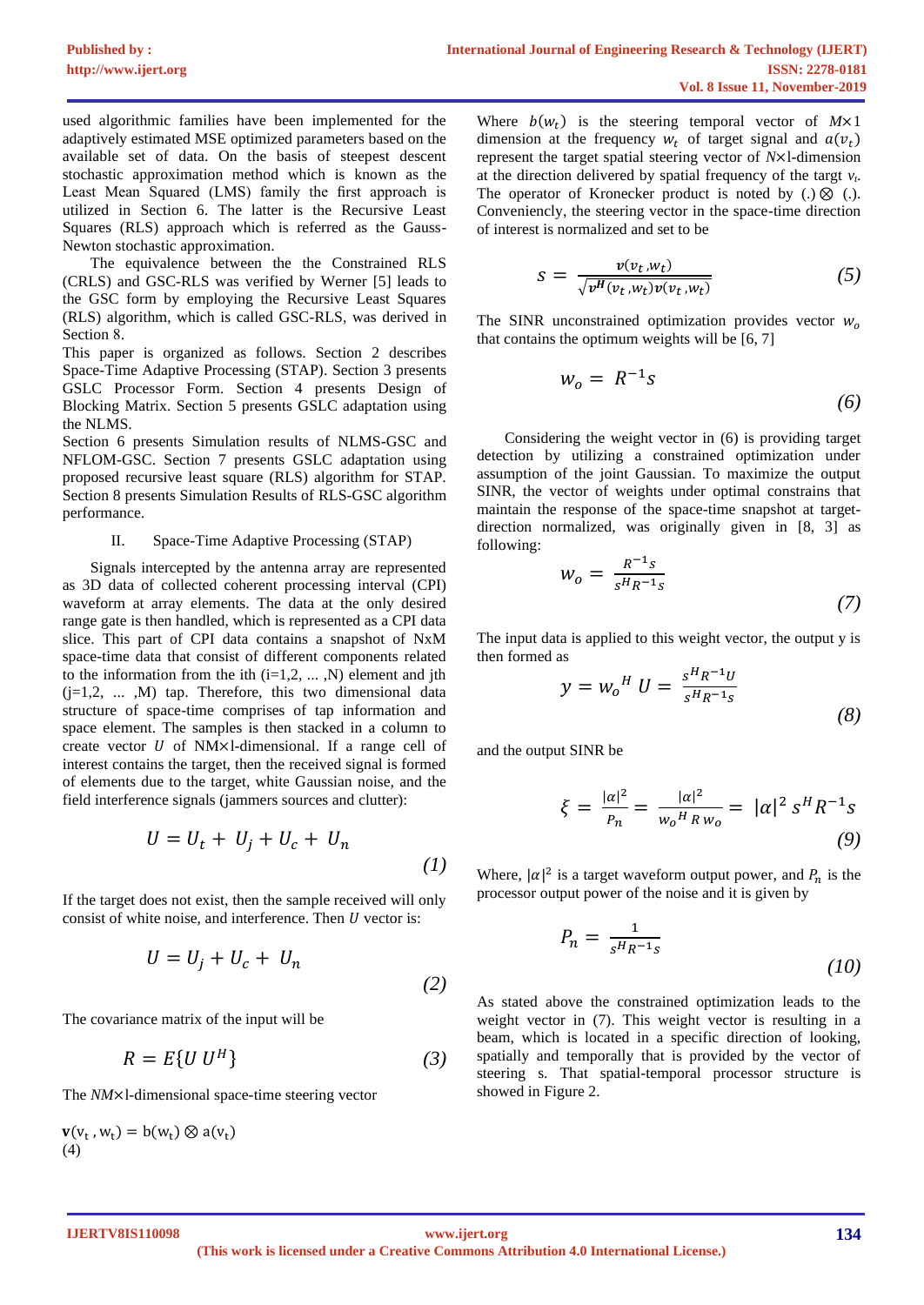used algorithmic families have been implemented for the adaptively estimated MSE optimized parameters based on the available set of data. On the basis of steepest descent stochastic approximation method which is known as the Least Mean Squared (LMS) family the first approach is utilized in Section 6. The latter is the Recursive Least Squares (RLS) approach which is referred as the Gauss-Newton stochastic approximation.

The equivalence between the the Constrained RLS (CRLS) and GSC-RLS was verified by Werner [5] leads to the GSC form by employing the Recursive Least Squares (RLS) algorithm, which is called GSC-RLS, was derived in Section 8.

This paper is organized as follows. Section 2 describes Space-Time Adaptive Processing (STAP). Section 3 presents GSLC Processor Form. Section 4 presents Design of Blocking Matrix. Section 5 presents GSLC adaptation using the NLMS.

Section 6 presents Simulation results of NLMS-GSC and NFLOM-GSC. Section 7 presents GSLC adaptation using proposed recursive least square (RLS) algorithm for STAP. Section 8 presents Simulation Results of RLS-GSC algorithm performance.

#### II. Space-Time Adaptive Processing (STAP)

Signals intercepted by the antenna array are represented as 3D data of collected coherent processing interval (CPI) waveform at array elements. The data at the only desired range gate is then handled, which is represented as a CPI data slice. This part of CPI data contains a snapshot of NxM space-time data that consist of different components related to the information from the ith  $(i=1,2, \ldots, N)$  element and jth (j=1,2, ... ,M) tap. Therefore, this two dimensional data structure of space-time comprises of tap information and space element. The samples is then stacked in a column to create vector  $U$  of NM×l-dimensional. If a range cell of interest contains the target, then the received signal is formed of elements due to the target, white Gaussian noise, and the field interference signals (jammers sources and clutter):

$$
U = U_t + U_j + U_c + U_n \tag{1}
$$

If the target does not exist, then the sample received will only consist of white noise, and interference. Then  $U$  vector is:

$$
U = U_j + U_c + U_n \tag{2}
$$

The covariance matrix of the input will be

$$
R = E\{U\ U^H\} \tag{3}
$$

The *NM*×l-dimensional space-time steering vector

$$
\mathbf{v}(v_t, w_t) = b(w_t) \otimes a(v_t)
$$
  
(4)

Where  $b(w_t)$  is the steering temporal vector of  $M \times 1$ dimension at the frequency  $w_t$  of target signal and  $a(v_t)$ represent the target spatial steering vector of *N*×l-dimension at the direction delivered by spatial frequency of the targt  $v_t$ . The operator of Kronecker product is noted by  $(.) \otimes (.)$ . Conveniencly, the steering vector in the space-time direction of interest is normalized and set to be

$$
s = \frac{v(v_t, w_t)}{\sqrt{v^H(v_t, w_t)v(v_t, w_t)}}
$$
(5)

The SINR unconstrained optimization provides vector  $W_0$ that contains the optimum weights will be [6, 7]

$$
w_o = R^{-1} s \tag{6}
$$

Considering the weight vector in (6) is providing target detection by utilizing a constrained optimization under assumption of the joint Gaussian. To maximize the output SINR, the vector of weights under optimal constrains that maintain the response of the space-time snapshot at targetdirection normalized, was originally given in [8, 3] as following:

$$
w_o = \frac{R^{-1}s}{s^H R^{-1}s}
$$
 (7)

The input data is applied to this weight vector, the output y is then formed as

$$
y = w_o^H U = \frac{s^H R^{-1} U}{s^H R^{-1} s}
$$
 (8)

and the output SINR be

$$
\xi = \frac{|\alpha|^2}{P_n} = \frac{|\alpha|^2}{w_o^H R w_o} = |\alpha|^2 s^H R^{-1} s
$$
\n(9)

Where,  $|\alpha|^2$  is a target waveform output power, and  $P_n$  is the processor output power of the noise and it is given by

$$
P_n = \frac{1}{s^H R^{-1} s} \tag{10}
$$

As stated above the constrained optimization leads to the weight vector in (7). This weight vector is resulting in a beam, which is located in a specific direction of looking, spatially and temporally that is provided by the vector of steering s. That spatial-temporal processor structure is showed in Figure 2.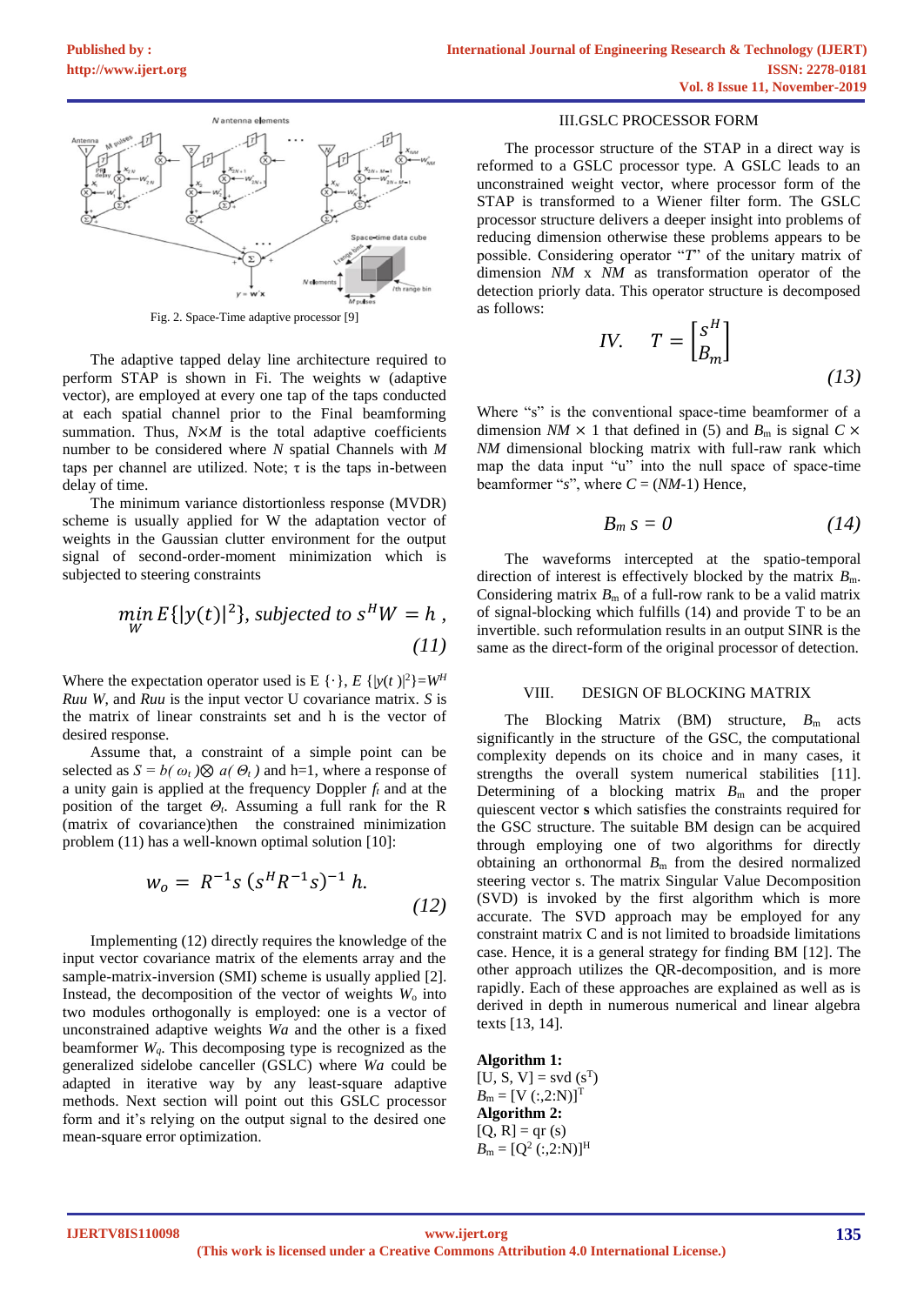

Fig. 2. Space-Time adaptive processor [9]

<span id="page-2-0"></span>The adaptive tapped delay line architecture required to perform STAP is shown in [Fi.](#page-2-0) The weights w (adaptive vector), are employed at every one tap of the taps conducted at each spatial channel prior to the Final beamforming summation. Thus,  $N \times M$  is the total adaptive coefficients number to be considered where *N* spatial Channels with *M* taps per channel are utilized. Note;  $\tau$  is the taps in-between delay of time.

The minimum variance distortionless response (MVDR) scheme is usually applied for W the adaptation vector of weights in the Gaussian clutter environment for the output signal of second-order-moment minimization which is subjected to steering constraints

$$
\min_{W} E\{|y(t)|^2\}, \text{ subjected to } s^H W = h,
$$
\n(11)

Where the expectation operator used is E  $\{\cdot\}$ , *E*  $\{|y(t)|^2\} = W^H$ *Ruu W*, and *Ruu* is the input vector U covariance matrix. *S* is the matrix of linear constraints set and h is the vector of desired response.

Assume that, a constraint of a simple point can be selected as  $S = b(\omega_t) \otimes a(\Theta_t)$  and h=1, where a response of a unity gain is applied at the frequency Doppler *f<sup>t</sup>* and at the position of the target *Θt*. Assuming a full rank for the R (matrix of covariance)then the constrained minimization problem (11) has a well-known optimal solution [10]:

$$
w_o = R^{-1} s (s^H R^{-1} s)^{-1} h.
$$
 (12)

Implementing (12) directly requires the knowledge of the input vector covariance matrix of the elements array and the sample-matrix-inversion (SMI) scheme is usually applied [2]. Instead, the decomposition of the vector of weights  $W_0$  into two modules orthogonally is employed: one is a vector of unconstrained adaptive weights *Wa* and the other is a fixed beamformer  $W_a$ . This decomposing type is recognized as the generalized sidelobe canceller (GSLC) where *Wa* could be adapted in iterative way by any least-square adaptive methods. Next section will point out this GSLC processor form and it's relying on the output signal to the desired one mean-square error optimization.

#### III.GSLC PROCESSOR FORM

The processor structure of the STAP in a direct way is reformed to a GSLC processor type. A GSLC leads to an unconstrained weight vector, where processor form of the STAP is transformed to a Wiener filter form. The GSLC processor structure delivers a deeper insight into problems of reducing dimension otherwise these problems appears to be possible. Considering operator "*T*" of the unitary matrix of dimension *NM* x *NM* as transformation operator of the detection priorly data. This operator structure is decomposed as follows:

*IV.* 
$$
T = \begin{bmatrix} S^H \\ B_m \end{bmatrix}
$$
 (13)

Where "s" is the conventional space-time beamformer of a dimension *NM*  $\times$  1 that defined in (5) and *B*<sub>m</sub> is signal *C*  $\times$ *NM* dimensional blocking matrix with full-raw rank which map the data input "u" into the null space of space-time beamformer "s", where  $C = (NM-1)$  Hence,

$$
B_m s = 0 \tag{14}
$$

The waveforms intercepted at the spatio-temporal direction of interest is effectively blocked by the matrix *B*m. Considering matrix  $B<sub>m</sub>$  of a full-row rank to be a valid matrix of signal-blocking which fulfills (14) and provide T to be an invertible. such reformulation results in an output SINR is the same as the direct-form of the original processor of detection.

#### VIII. DESIGN OF BLOCKING MATRIX

The Blocking Matrix (BM) structure,  $B<sub>m</sub>$  acts significantly in the structure of the GSC, the computational complexity depends on its choice and in many cases, it strengths the overall system numerical stabilities [11]. Determining of a blocking matrix  $B<sub>m</sub>$  and the proper quiescent vector **s** which satisfies the constraints required for the GSC structure. The suitable BM design can be acquired through employing one of two algorithms for directly obtaining an orthonormal  $B<sub>m</sub>$  from the desired normalized steering vector s. The matrix Singular Value Decomposition (SVD) is invoked by the first algorithm which is more accurate. The SVD approach may be employed for any constraint matrix C and is not limited to broadside limitations case. Hence, it is a general strategy for finding BM [12]. The other approach utilizes the QR-decomposition, and is more rapidly. Each of these approaches are explained as well as is derived in depth in numerous numerical and linear algebra texts [13, 14].

**Algorithm 1:**  $[U, S, V] = svd(s^{T})$  $B_m = [V(:,2:N)]^T$ **Algorithm 2:**   $[Q, R] = qr(s)$  $B_{\rm m} = [Q^2$  (:,2:N)]<sup>H</sup>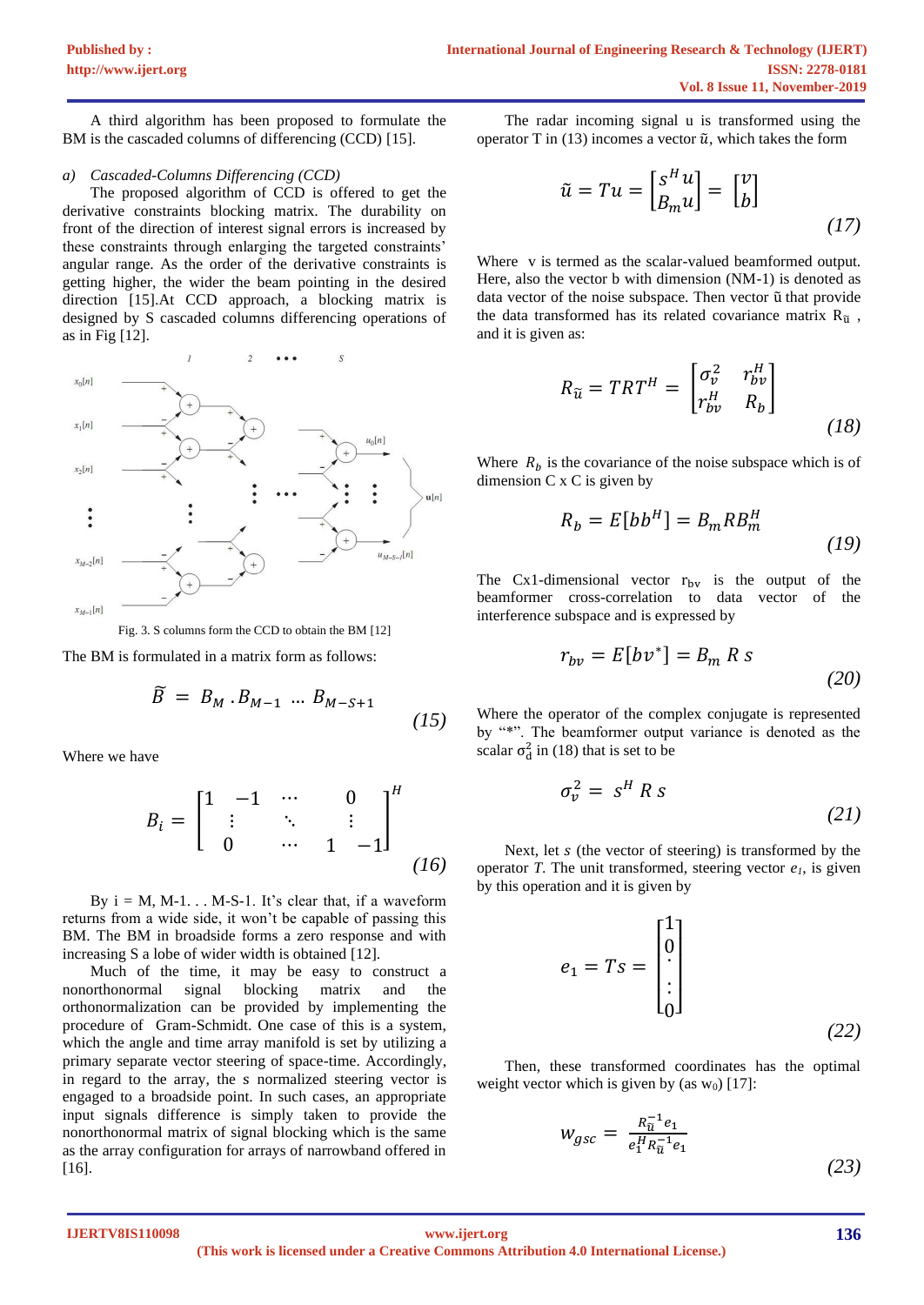A third algorithm has been proposed to formulate the BM is the cascaded columns of differencing (CCD) [15].

#### *a) Cascaded-Columns Differencing (CCD)*

The proposed algorithm of CCD is offered to get the derivative constraints blocking matrix. The durability on front of the direction of interest signal errors is increased by these constraints through enlarging the targeted constraints' angular range. As the order of the derivative constraints is getting higher, the wider the beam pointing in the desired direction [15].At CCD approach, a blocking matrix is designed by S cascaded columns differencing operations of as in [Fig](#page-3-0) [12].



Fig. 3. S columns form the CCD to obtain the BM [12]

<span id="page-3-0"></span>The BM is formulated in a matrix form as follows:

$$
\widetilde{B} = B_M \cdot B_{M-1} \dots B_{M-S+1} \tag{15}
$$

Where we have

$$
B_{i} = \begin{bmatrix} 1 & -1 & \cdots & 0 \\ \vdots & \ddots & \vdots \\ 0 & \cdots & 1 & -1 \end{bmatrix}^{H}
$$
 (16)

By  $i = M, M-1...M-S-1$ . It's clear that, if a waveform returns from a wide side, it won't be capable of passing this BM. The BM in broadside forms a zero response and with increasing S a lobe of wider width is obtained [12].

Much of the time, it may be easy to construct a nonorthonormal signal blocking matrix and the orthonormalization can be provided by implementing the procedure of Gram-Schmidt. One case of this is a system, which the angle and time array manifold is set by utilizing a primary separate vector steering of space-time. Accordingly, in regard to the array, the s normalized steering vector is engaged to a broadside point. In such cases, an appropriate input signals difference is simply taken to provide the nonorthonormal matrix of signal blocking which is the same as the array configuration for arrays of narrowband offered in [16].

<span id="page-3-1"></span>The radar incoming signal u is transformed using the operator T in (13) incomes a vector  $\tilde{u}$ , which takes the form

$$
\tilde{u} = Tu = \begin{bmatrix} s^H u \\ B_m u \end{bmatrix} = \begin{bmatrix} v \\ b \end{bmatrix}
$$
\n(17)

Where v is termed as the scalar-valued beamformed output. Here, also the vector b with dimension (NM-1) is denoted as data vector of the noise subspace. Then vector ũ that provide the data transformed has its related covariance matrix  $R_{\tilde{u}}$ , and it is given as:

$$
R_{\widetilde{u}} = TRT^{H} = \begin{bmatrix} \sigma_{v}^{2} & r_{bv}^{H} \\ r_{bv}^{H} & R_{b} \end{bmatrix}
$$
\n(18)

Where  $R_b$  is the covariance of the noise subspace which is of dimension C x C is given by

$$
R_b = E[bb^H] = B_m R B_m^H
$$
\n(19)

The Cx1-dimensional vector  $r_{\text{bv}}$  is the output of the beamformer cross-correlation to data vector of the interference subspace and is expressed by

$$
r_{bv} = E[bv^*] = B_m R s
$$
\n(20)

Where the operator of the complex conjugate is represented by "\*". The beamformer output variance is denoted as the scalar  $\sigma_d^2$  in (18) that is set to be

$$
\sigma_v^2 = s^H R s \tag{21}
$$

Next, let  $s$  (the vector of steering) is transformed by the operator *T*. The unit transformed, steering vector *e1*, is given by this operation and it is given by

$$
e_1 = Ts = \begin{bmatrix} 1 \\ 0 \\ \vdots \\ 0 \end{bmatrix}
$$
 (22)

Then, these transformed coordinates has the optimal weight vector which is given by (as  $w_0$ ) [17]:

$$
w_{gsc} = \frac{R_{\tilde{u}}^{-1}e_1}{e_1^H R_{\tilde{u}}^{-1} e_1}
$$
\n(23)

**IJERTV8IS110098**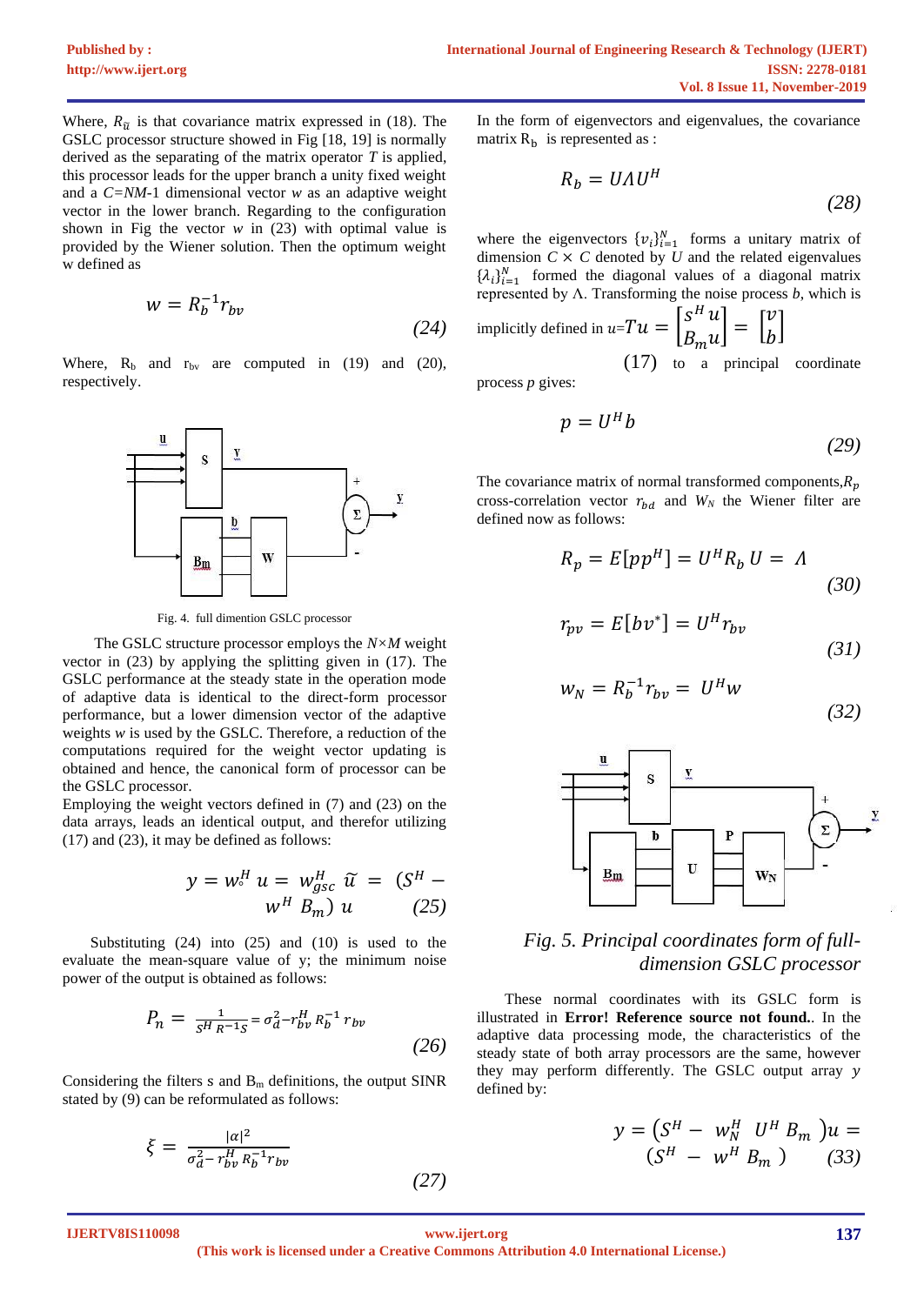Where,  $R_{\tilde{u}}$  is that covariance matrix expressed in (18). The GSLC processor structure showed in [Fig](#page-4-0) [18, 19] is normally derived as the separating of the matrix operator *T* is applied, this processor leads for the upper branch a unity fixed weight and a *C=NM*-1 dimensional vector *w* as an adaptive weight vector in the lower branch. Regarding to the configuration shown in [Fig](#page-4-0) the vector  $w$  in (23) with optimal value is provided by the Wiener solution. Then the optimum weight w defined as

$$
w = R_b^{-1} r_{bv}
$$
 (24)

Where,  $R_b$  and  $r_{bv}$  are computed in (19) and (20), respectively.



Fig. 4. full dimention GSLC processor

<span id="page-4-0"></span>The GSLC structure processor employs the *N×M* weight vector in (23) by applying the splitting given in (17). The GSLC performance at the steady state in the operation mode of adaptive data is identical to the direct-form processor performance, but a lower dimension vector of the adaptive weights *w* is used by the GSLC. Therefore, a reduction of the computations required for the weight vector updating is obtained and hence, the canonical form of processor can be the GSLC processor.

Employing the weight vectors defined in (7) and (23) on the data arrays, leads an identical output, and therefor utilizing (17) and (23), it may be defined as follows:

$$
y = wH u = wHgsc \tilde{u} = (SH - wH Bm) u
$$
 (25)

Substituting (24) into (25) and (10) is used to the evaluate the mean-square value of y; the minimum noise power of the output is obtained as follows:

$$
P_n = \frac{1}{s^H R^{-1} s} = \sigma_d^2 - r_{bv}^H R_b^{-1} r_{bv}
$$
\n(26)

Considering the filters  $s$  and  $B<sub>m</sub>$  definitions, the output SINR stated by (9) can be reformulated as follows:

$$
\xi = \frac{|\alpha|^2}{\sigma_d^2 - r_{bv}^H R_b^{-1} r_{bv}}
$$

In the form of eigenvectors and eigenvalues, the covariance matrix  $R_b$  is represented as :

$$
R_b = U \Lambda U^H \tag{28}
$$

where the eigenvectors  $\{v_i\}_{i=1}^N$  forms a unitary matrix of dimension  $C \times C$  denoted by  $U$  and the related eigenvalues  $\{\lambda_i\}_{i=1}^N$  formed the diagonal values of a diagonal matrix represented by Λ. Transforming the noise process *b*, which is

implicitly defined in  $u = T u = \begin{bmatrix} S^H & 0 \end{bmatrix}$  $B_m$  $\overline{u}$  $\begin{bmatrix} u \\ u \end{bmatrix} = \begin{bmatrix} \end{bmatrix}$  $\boldsymbol{\mathcal{V}}$  $\int_{b}^{b}$ 

 [\(17\)](#page-3-1) to a principal coordinate

process *p* gives:

$$
p = U^H b \tag{29}
$$

The covariance matrix of normal transformed components,  $R_n$ cross-correlation vector  $r_{bd}$  and  $W_N$  the Wiener filter are defined now as follows:

$$
R_p = E[pp^H] = U^H R_b U = \Lambda
$$
\n(30)

$$
r_{pv} = E[bv^*] = U^H r_{bv}
$$
\n(31)

$$
w_N = R_b^{-1} r_{bv} = U^H w \tag{32}
$$



# *Fig. 5. Principal coordinates form of fulldimension GSLC processor*

These normal coordinates with its GSLC form is illustrated in **Error! Reference source not found.**. In the adaptive data processing mode, the characteristics of the steady state of both array processors are the same, however they may perform differently. The GSLC output array y defined by:

$$
y = (S^H - w_N^H U^H B_m) u = (S^H - w^H B_m) (33)
$$

**IJERTV8IS110098**

**(This work is licensed under a Creative Commons Attribution 4.0 International License.) <www.ijert.org>**

 *(27)*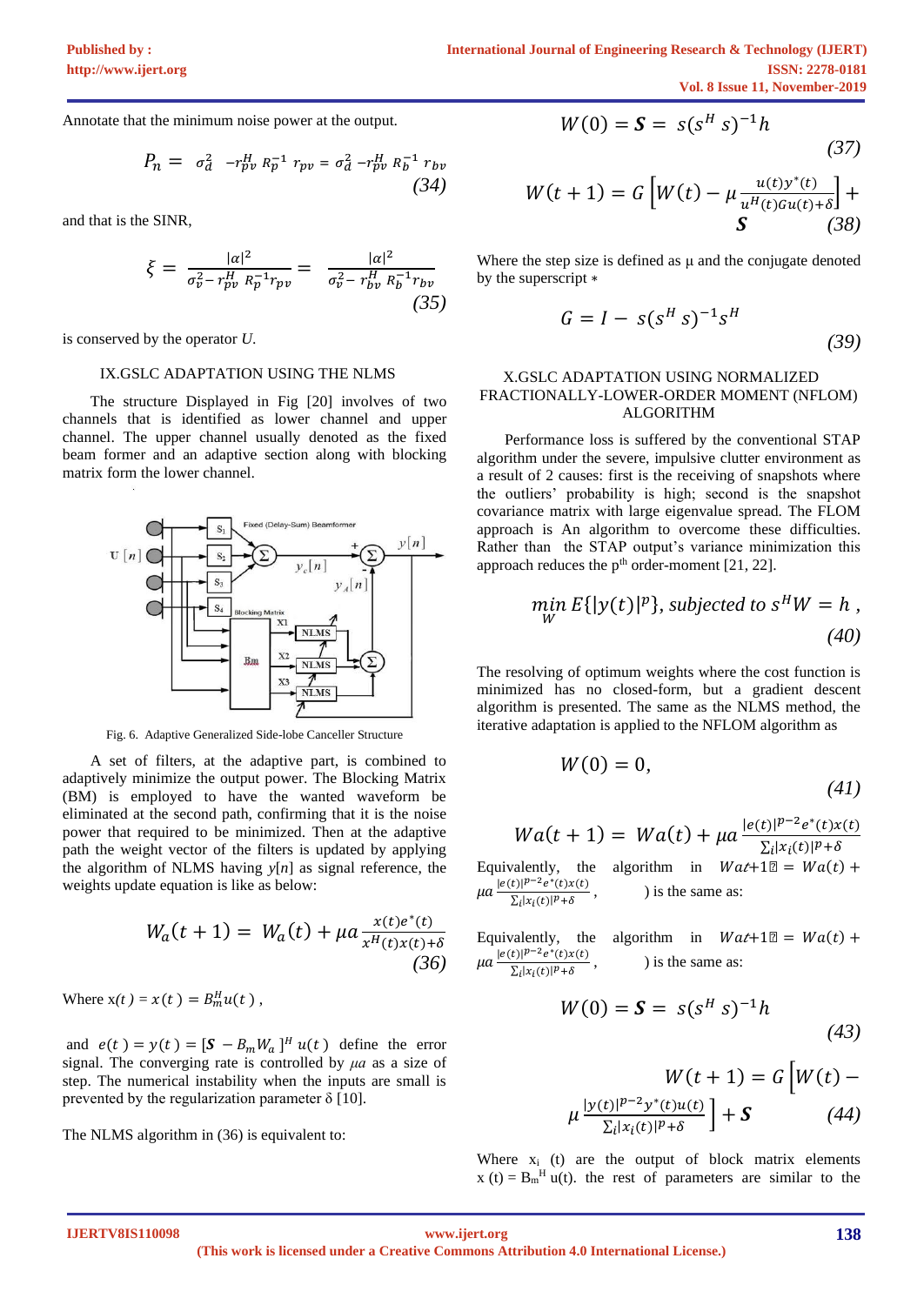Annotate that the minimum noise power at the output.

$$
P_n = \sigma_d^2 - r_{pv}^H R_p^{-1} r_{pv} = \sigma_d^2 - r_{pv}^H R_b^{-1} r_{bv}
$$
\n(34)

and that is the SINR,

$$
\xi = \frac{|a|^2}{\sigma_v^2 - r_{pv}^H R_p^{-1} r_{pv}} = \frac{|a|^2}{\sigma_v^2 - r_{bv}^H R_p^{-1} r_{bv}}
$$
\n(35)

is conserved by the operator *U*.

#### IX.GSLC ADAPTATION USING THE NLMS

The structure Displayed in [Fig](#page-5-0) [20] involves of two channels that is identified as lower channel and upper channel. The upper channel usually denoted as the fixed beam former and an adaptive section along with blocking matrix form the lower channel.



Fig. 6. Adaptive Generalized Side-lobe Canceller Structure

<span id="page-5-0"></span>A set of filters, at the adaptive part, is combined to adaptively minimize the output power. The Blocking Matrix (BM) is employed to have the wanted waveform be eliminated at the second path, confirming that it is the noise power that required to be minimized. Then at the adaptive path the weight vector of the filters is updated by applying the algorithm of NLMS having *y*[*n*] as signal reference, the weights update equation is like as below:

$$
W_a(t+1) = W_a(t) + \mu a \frac{x(t)e^*(t)}{x^H(t)x(t)+\delta}
$$
\n(36)

Where  $x(t) = x(t) = B_m^H u(t)$ ,

and  $e(t) = y(t) = [\mathbf{S} - B_m W_a]^H u(t)$  define the error signal. The converging rate is controlled by *μa* as a size of step. The numerical instability when the inputs are small is prevented by the regularization parameter  $\delta$  [10].

The NLMS algorithm in (36) is equivalent to:

$$
W(0) = S = s(s^H s)^{-1}h
$$
 (37)

<span id="page-5-2"></span>
$$
W(t+1) = G\left[W(t) - \mu \frac{u(t)y^*(t)}{u^H(t)Gu(t)+\delta}\right] + S
$$
 (38)

Where the step size is defined as  $\mu$  and the conjugate denoted by the superscript ∗

$$
G = I - s(s^H s)^{-1} s^H
$$
 (39)

### X.GSLC ADAPTATION USING NORMALIZED FRACTIONALLY-LOWER-ORDER MOMENT (NFLOM) ALGORITHM

Performance loss is suffered by the conventional STAP algorithm under the severe, impulsive clutter environment as a result of 2 causes: first is the receiving of snapshots where the outliers' probability is high; second is the snapshot covariance matrix with large eigenvalue spread. The FLOM approach is An algorithm to overcome these difficulties. Rather than the STAP output's variance minimization this approach reduces the  $p<sup>th</sup>$  order-moment [21, 22].

$$
\min_{W} E\{|y(t)|^p\}, \text{ subjected to } s^H W = h ,
$$
\n(40)

The resolving of optimum weights where the cost function is minimized has no closed-form, but a gradient descent algorithm is presented. The same as the NLMS method, the iterative adaptation is applied to the NFLOM algorithm as

$$
W(0) = 0,\t\t(41)
$$

<span id="page-5-1"></span>
$$
Wa(t + 1) = Wa(t) + \mu a \frac{|e(t)|^{p-2} e^*(t)x(t)}{\sum_i |x_i(t)|^p + \delta}
$$

Equivalently, the algorithm in  $Wat+12 = Wa(t) +$  $\mu a \frac{|e(t)|^{p-2}e^*(t)x(t)}{\sum |x(t)|^p + s}$  $\sum_i |x_i(t)|^p + \delta$ ) is the same as:

Equivalently, the algorithm in  $Wat+1 \mathbb{Z} = Wa(t) +$  $\mu a \frac{|e(t)|^{p-2}e^*(t)x(t)}{\sum |x(t)|^p + s}$  $\sum_i |x_i(t)|^p + \delta$ ) is the same as:

$$
W(0) = S = s(s^H s)^{-1}h
$$
\n(43)

$$
W(t+1) = G \left[ W(t) - \mu \frac{|y(t)|^{p-2} y^*(t) u(t)}{\sum_i |x_i(t)|^p + \delta} \right] + S \qquad (44)
$$

Where  $x_i$  (t) are the output of block matrix elements  $x(t) = B_m^H u(t)$ . the rest of parameters are similar to the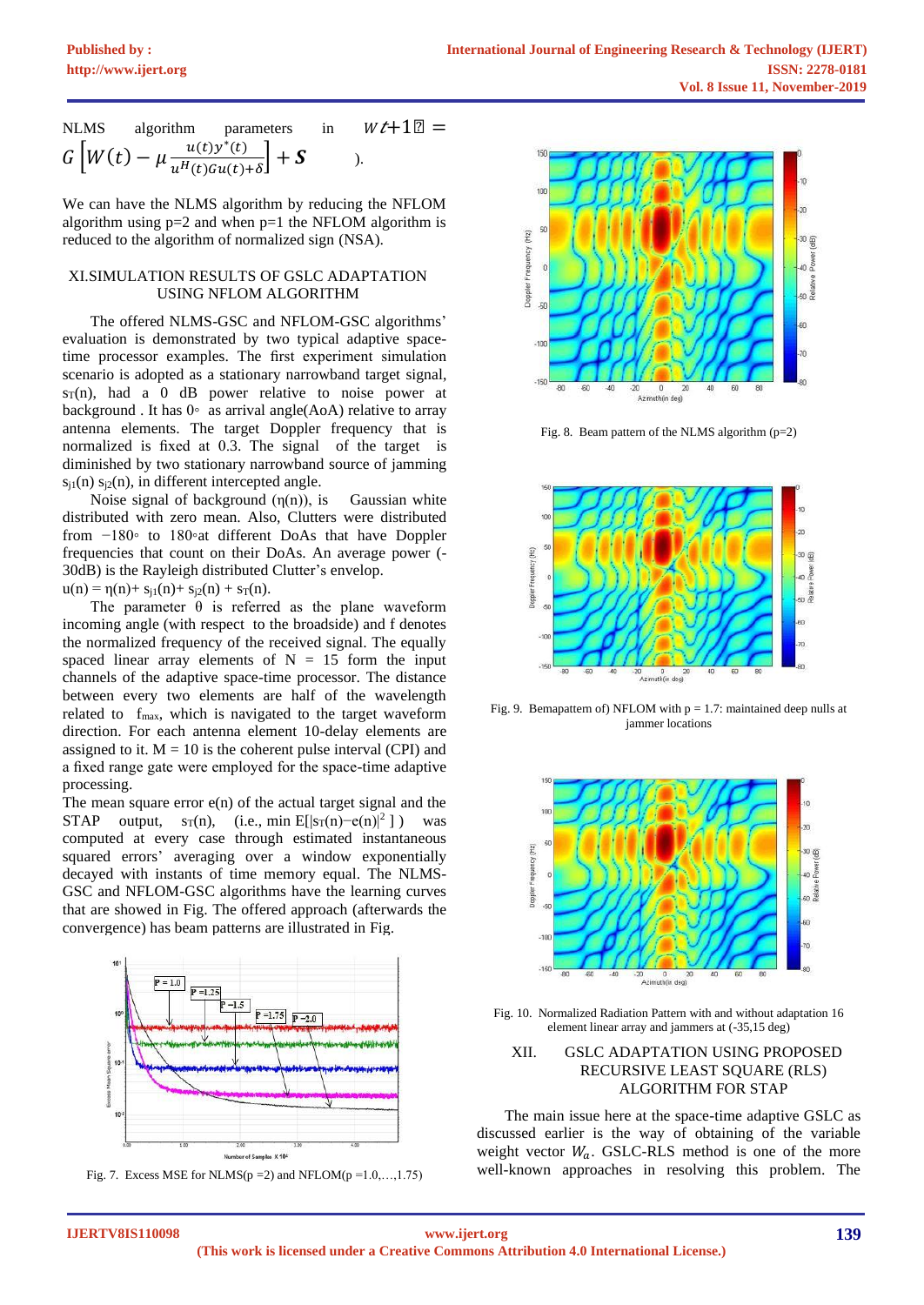NLMS algorithm parameters in 
$$
W\ell+1\mathbb{Z} = G\left[W(t) - \mu \frac{u(t)y^*(t)}{u^H(t)Gu(t)+\delta}\right] + S
$$
 ).

We can have the NLMS algorithm by reducing the NFLOM algorithm using  $p=2$  and when  $p=1$  the NFLOM algorithm is reduced to the algorithm of normalized sign (NSA).

## XI.SIMULATION RESULTS OF GSLC ADAPTATION USING NFLOM ALGORITHM

The offered NLMS-GSC and NFLOM-GSC algorithms' evaluation is demonstrated by two typical adaptive spacetime processor examples. The first experiment simulation scenario is adopted as a stationary narrowband target signal,  $s_T(n)$ , had a 0 dB power relative to noise power at background . It has  $0°$  as arrival angle(AoA) relative to array antenna elements. The target Doppler frequency that is normalized is fixed at 0.3. The signal of the target is diminished by two stationary narrowband source of jamming  $s_{i1}(n)$   $s_{i2}(n)$ , in different intercepted angle.

Noise signal of background  $(\eta(n))$ , is Gaussian white distributed with zero mean. Also, Clutters were distributed from −180◦ to 180◦at different DoAs that have Doppler frequencies that count on their DoAs. An average power (- 30dB) is the Rayleigh distributed Clutter's envelop.  $u(n) = \eta(n) + s_{i1}(n) + s_{i2}(n) + s_T(n).$ 

The parameter  $\theta$  is referred as the plane waveform incoming angle (with respect to the broadside) and f denotes the normalized frequency of the received signal. The equally spaced linear array elements of  $N = 15$  form the input channels of the adaptive space-time processor. The distance between every two elements are half of the wavelength related to fmax, which is navigated to the target waveform direction. For each antenna element 10-delay elements are assigned to it.  $M = 10$  is the coherent pulse interval (CPI) and a fixed range gate were employed for the space-time adaptive processing.

The mean square error  $e(n)$  of the actual target signal and the STAP output,  $s_T(n)$ , (i.e., min E[ $|s_T(n)-e(n)|^2$ ]) was computed at every case through estimated instantaneous squared errors' averaging over a window exponentially decayed with instants of time memory equal. The NLMS-GSC and NFLOM-GSC algorithms have the learning curves that are showed in [Fig.](#page-6-0) The offered approach (afterwards the convergence) has beam patterns are illustrated in [Fig.](#page-6-1)



<span id="page-6-0"></span>Fig. 7. Excess MSE for NLMS(p = 2) and NFLOM(p = 1.0,...,1.75)



Fig. 8. Beam pattern of the NLMS algorithm (p=2)



<span id="page-6-1"></span>Fig. 9. Bemapattern of) NFLOM with  $p = 1.7$ : maintained deep nulls at jammer locations



Fig. 10. Normalized Radiation Pattern with and without adaptation 16 element linear array and jammers at (-35,15 deg)

# XII. GSLC ADAPTATION USING PROPOSED RECURSIVE LEAST SQUARE (RLS) ALGORITHM FOR STAP

The main issue here at the space-time adaptive GSLC as discussed earlier is the way of obtaining of the variable weight vector  $W_a$ . GSLC-RLS method is one of the more well-known approaches in resolving this problem. The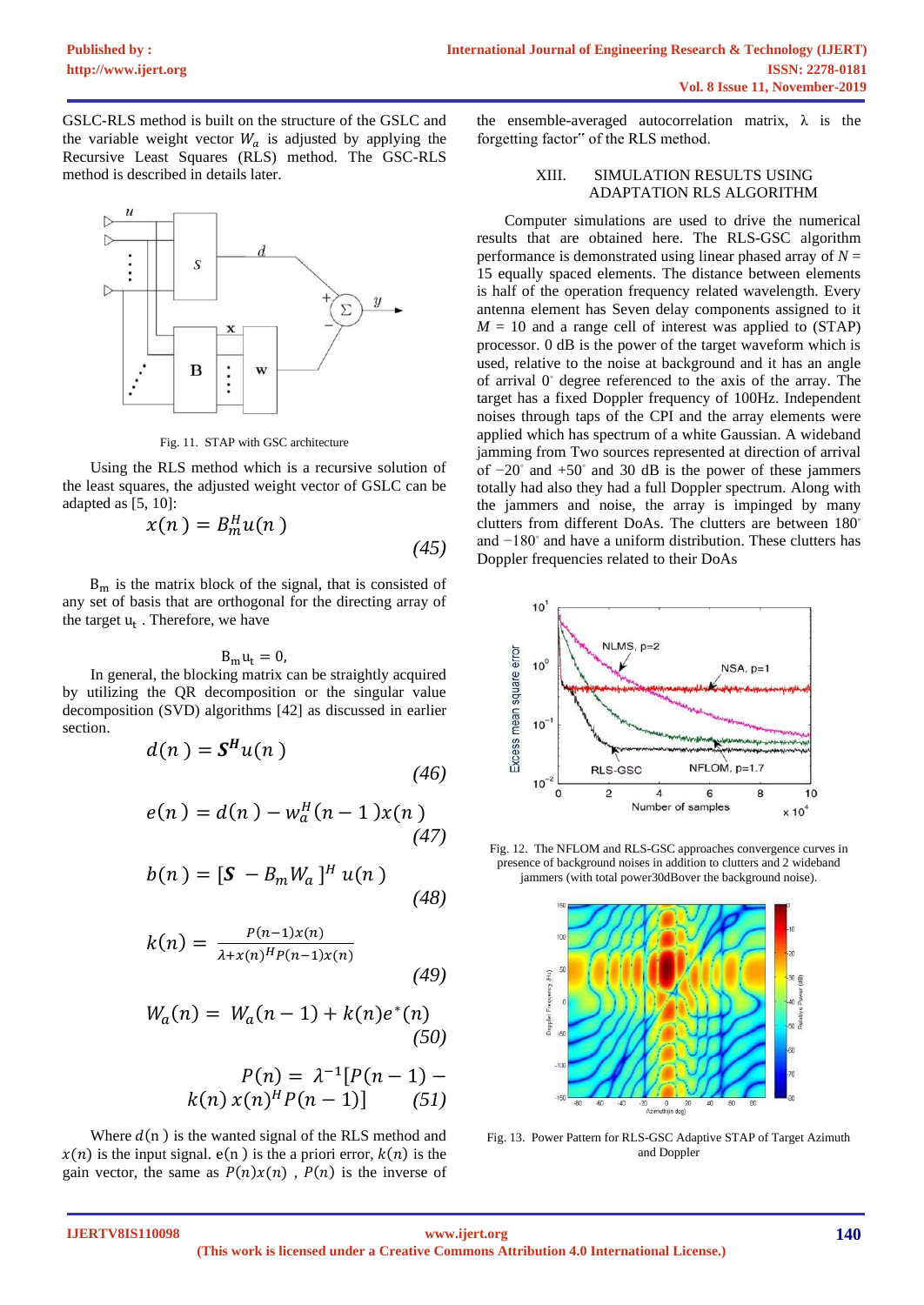GSLC-RLS method is built on the structure of the GSLC and the variable weight vector  $W_a$  is adjusted by applying the Recursive Least Squares (RLS) method. The GSC-RLS method is described in details later.



Fig. 11. STAP with GSC architecture

Using the RLS method which is a recursive solution of the least squares, the adjusted weight vector of GSLC can be adapted as [5, 10]:

$$
x(n) = B_m^H u(n)
$$
\n(45)

 $B<sub>m</sub>$  is the matrix block of the signal, that is consisted of any set of basis that are orthogonal for the directing array of the target  $u_t$  . Therefore, we have

$$
B_{m}u_{t}=0,
$$

In general, the blocking matrix can be straightly acquired by utilizing the QR decomposition or the singular value decomposition (SVD) algorithms [42] as discussed in earlier section.

$$
d(n) = \mathbf{S}^H u(n) \tag{46}
$$

$$
e(n) = d(n) - w_a^H(n-1)x(n)
$$
\n(47)

$$
b(n) = \left[\mathbf{S} - B_m W_a\right]^H u(n) \tag{48}
$$

$$
k(n) = \frac{P(n-1)x(n)}{\lambda + x(n)^{H}P(n-1)x(n)}
$$
(49)

$$
W_a(n) = W_a(n-1) + k(n)e^*(n)
$$
\n(50)

$$
P(n) = \lambda^{-1} [P(n-1) - k(n) x(n)^H P(n-1)] \qquad (51)
$$

Where  $d(n)$  is the wanted signal of the RLS method and  $x(n)$  is the input signal.  $e(n)$  is the a priori error,  $k(n)$  is the gain vector, the same as  $P(n)x(n)$ ,  $P(n)$  is the inverse of the ensemble-averaged autocorrelation matrix,  $\lambda$  is the forgetting factor" of the RLS method.

# XIII. SIMULATION RESULTS USING ADAPTATION RLS ALGORITHM

Computer simulations are used to drive the numerical results that are obtained here. The RLS-GSC algorithm performance is demonstrated using linear phased array of  $N =$ 15 equally spaced elements. The distance between elements is half of the operation frequency related wavelength. Every antenna element has Seven delay components assigned to it  $M = 10$  and a range cell of interest was applied to  $(STAP)$ processor. 0 dB is the power of the target waveform which is used, relative to the noise at background and it has an angle of arrival 0◦ degree referenced to the axis of the array. The target has a fixed Doppler frequency of 100Hz. Independent noises through taps of the CPI and the array elements were applied which has spectrum of a white Gaussian. A wideband jamming from Two sources represented at direction of arrival of −20◦ and +50 ◦ and 30 dB is the power of these jammers totally had also they had a full Doppler spectrum. Along with the jammers and noise, the array is impinged by many clutters from different DoAs. The clutters are between 180 ◦ and −180◦ and have a uniform distribution. These clutters has Doppler frequencies related to their DoAs



Fig. 12. The NFLOM and RLS-GSC approaches convergence curves in presence of background noises in addition to clutters and 2 wideband jammers (with total power30dBover the background noise).



Fig. 13. Power Pattern for RLS-GSC Adaptive STAP of Target Azimuth and Doppler